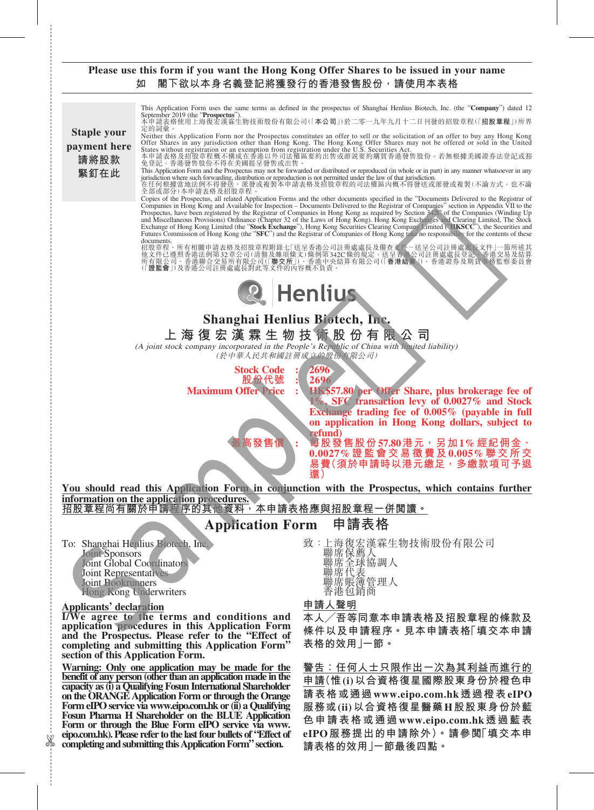### **Please use this form if you want the Hong Kong Offer Shares to be issued in your name 如 閣下欲以本身名義登記將獲發行的香港發售股份,請使用本表格**

 This Application Form uses the same terms as defined in the prospectus of Shanghai Henlius Biotech, Inc. (the "**Company**") dated 12 September 2019 (the "**Prospectus**"). 本申請表格使用上海復宏漢霖生物技術股份有限公司(「**本公司**」)於二零一九年九月十二日刊發的招股章程(「**招股章程**」)所界

定的詞彙。 Neither this Application Form nor the Prospectus constitutes an offer to sell or the solicitation of an offer to buy any Hong Kong Offer Shares in any jurisdiction other than Hong Kong. The Hong Kong Offer Shares may not be offered or sold in the United **payment here**

States without registration or an exemption from registration under the U.S. Securities Act. 本申請表格及招股章程概不構成在香港以外司法權區要約出售或游說要約購買香港發售股份。若無根據美國證券法登記或豁 免登記,香港發售股份不得在美國提呈發售或出售。

This Application Form and the Prospectus may not be forwarded or distributed or reproduced (in whole or in part) in any manner whatsoever in any jurisdiction where such forwarding, distribution or reproduction is not permitted under the law of that jurisdiction.<br>在任何根據當地法例不得發送、派發或複製本申請表格及招股章程的司法權區內概不得發送或派發或複製(不論方式,也不論

全部或部分)本申請表格及招股章程。

Copies of the Prospectus, all related Application Forms and the other documents specified in the "Documents Delivered to the Registrar of Companies in Hong Kong and Available for Inspection - Documents Delivered to the Reg Prospectus, have been registered by the Registrar of Companies in Hong Kong as required by Section 342C of the Companies (Winding Up and Miscellaneous Provisions) Ordinance (Chapter 32 of the Laws of Hong Kong). Hong Kong Exchanges and Clearing Limited, The Stock<br>Exchange of Hong Kong Limited (the "Stock Exchange"), Hong Kong Securities Clearing Company Futures Commission of Hong Kong (the "**SFC**") and the Registrar of Companies of Hong Kong take no responsibility for the contents of these documents.

招股章程、所有相關申請表格及招股章程附錄七「送呈香港公司註冊處處長及備查文件-送呈公司註冊處處長文件」一節所述其 他文件已遵照香港法例第32章公司(清盤及雜項條文)條例第342C條的規定,送呈香港公司註冊處處長登記。香港交易及結算 所有限公司、香港聯合交易所有限公司(「**聯交所**」)、香港中央結算有限公司(「**香港結算**」)、香港證券及期貨事務監察委員會 (「**證監會**」)及香港公司註冊處處長對此等文件的內容概不負責。



**Shanghai Henlius Biotech, Inc.**

**上海復宏漢霖生物技術股份有限公司**

(A joint stock company incorporated in the People's Republic of China with limited liability) (於中華人民共和國註冊成立的股份有限公司)

> **Stock Code : 2696 股份代號 : 2696**

**Maximum Offer Price : HK\$57.80 per Offer Share, plus brokerage fee of 1%, SFC transaction levy of 0.0027% and Stock Exchange trading fee of 0.005% (payable in full on application in Hong Kong dollars, subject to**  Sample and the Application Form - 中請大學開發所得的,以及一次的。<br>
Shample and the sixteens and conditions and the state of the state of the state of the state of the state of the state of the state of the state of the state of the sta

**refund) 最高發售價 : 每股發售股份57.80港元,另加1%經紀佣金、 0.0027%證監會交易徵費及0.005%聯交所交 易費(須於申請時以港元繳足,多繳款項可予退 還)**

**You should read this Application Form in conjunction with the Prospectus, which contains further information on the application procedures.**

**招股章程尚有關於申請程序的其他資料,本申請表格應與招股章程一併閱讀。**

## **Application Form 申請表格**

To: Shanghai Henlius Biotech, Inc. Joint Sponsors Joint Global Coordinators Joint Representatives Joint Bookrunners Hong Kong Underwriters

**Applicants' declaration**

**Staple your**

**請將股款 緊釘在此**

✄

**I/We agree to the terms and conditions and application procedures in this Application Form and the Prospectus. Please refer to the "Effect of completing and submitting this Application Form" section of this Application Form.**

**Warning: Only one application may be made for the benefit of any person (other than an application made in the capacity as (i) a Qualifying Fosun International Shareholder on the ORANGE Application Form or through the Orange Form eIPO service via www.eipo.com.hk or (ii) a Qualifying Fosun Pharma H Shareholder on the BLUE Application Form or through the Blue Form eIPO service via www. eipo.com.hk). Please refer to the last four bullets of "Effect of completing and submitting this Application Form" section.**

致:上海復宏漢霖生物技術股份有限公司<br>----聯席保薦人<br>聯席保薦人<br>聯席氏表<br>聯席賬簿 理人<br>香港包銷商

**申請人聲明**

**本人╱吾等同意本申請表格及招股章程的條款及 條件以及申請程序。見本申請表格「填交本申請 表格的效用」一節。**

**警告:任何人士只限作出一次為其利益而進行的 申請(惟(i)以合資格復星國際股東身份於橙色申 請表格或通過www.eipo.com.hk透過橙表eIPO 服務或(ii)以合資格復星醫藥H股股東身份於藍 色申請表格或通過www.eipo.com.hk透過藍表 eIPO服務提出的申請除外)。請參閱「填交本申 請表格的效用」一節最後四點。**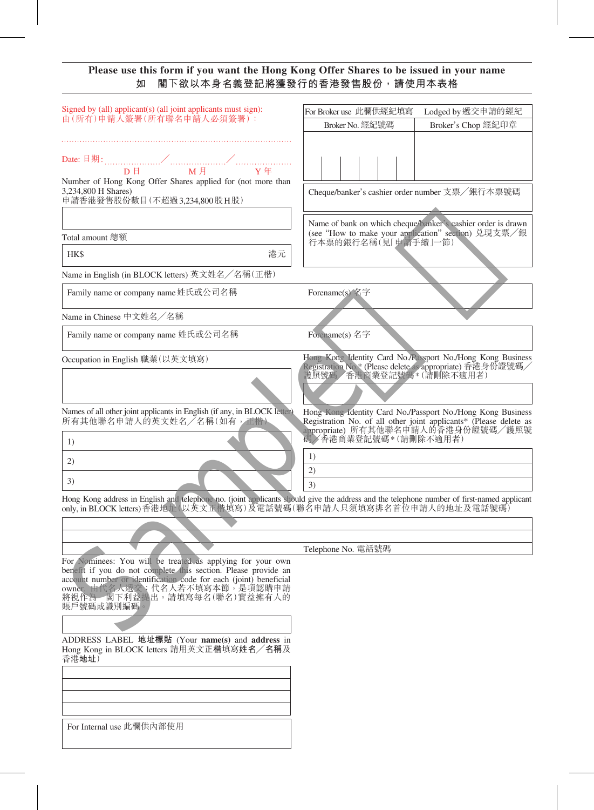## Please use this form if you want the Hong Kong Offer Shares to be issued in your name<br>如 閣下欲以本身名義登記將獲發行的香港發售股份,請使用本表格 **如 閣下欲以本身名義登記將獲發行的香港發售股份,請使用本表格**

| Signed by (all) applicant(s) (all joint applicants must sign):<br>由(所有)申請人簽署(所有聯名申請人必須簽署):                                                                                                                      | For Broker use 此欄供經紀填寫<br>Lodged by 遞交申請的經紀                                           |                                                                                                         |  |  |
|-----------------------------------------------------------------------------------------------------------------------------------------------------------------------------------------------------------------|---------------------------------------------------------------------------------------|---------------------------------------------------------------------------------------------------------|--|--|
|                                                                                                                                                                                                                 | Broker No. 經紀號碼                                                                       | Broker's Chop 經紀印章                                                                                      |  |  |
|                                                                                                                                                                                                                 |                                                                                       |                                                                                                         |  |  |
|                                                                                                                                                                                                                 |                                                                                       |                                                                                                         |  |  |
| D目 M月 Y年                                                                                                                                                                                                        |                                                                                       |                                                                                                         |  |  |
| Number of Hong Kong Offer Shares applied for (not more than                                                                                                                                                     |                                                                                       |                                                                                                         |  |  |
| 3,234,800 H Shares)<br>申請香港發售股份數目(不超過3,234,800股H股)                                                                                                                                                              | Cheque/banker's cashier order number 支票/銀行本票號碼                                        |                                                                                                         |  |  |
|                                                                                                                                                                                                                 |                                                                                       |                                                                                                         |  |  |
|                                                                                                                                                                                                                 |                                                                                       | Name of bank on which cheque/banker's cashier order is drawn                                            |  |  |
| Total amount 總額                                                                                                                                                                                                 | 行本票的銀行名稱(見[申請手續]一節)                                                                   | (see "How to make your application" section) 兑現支票/銀                                                     |  |  |
| 港元<br>HK\$                                                                                                                                                                                                      |                                                                                       |                                                                                                         |  |  |
| Name in English (in BLOCK letters) 英文姓名/名稱(正楷)                                                                                                                                                                  |                                                                                       |                                                                                                         |  |  |
| Family name or company name 姓氏或公司名稱                                                                                                                                                                             | Forename(s) 名字                                                                        |                                                                                                         |  |  |
| Name in Chinese 中文姓名/名稱                                                                                                                                                                                         |                                                                                       |                                                                                                         |  |  |
| Family name or company name 姓氏或公司名稱                                                                                                                                                                             | Forename(s) 名字                                                                        |                                                                                                         |  |  |
| Occupation in English 職業(以英文填寫)                                                                                                                                                                                 |                                                                                       | Hong Kong Identity Card No./Passport No./Hong Kong Business                                             |  |  |
|                                                                                                                                                                                                                 | Registration No.* (Please delete as appropriate) 香港身份證號碼<br>護照號碼/香港商業登記號碼 * (請刪除不適用者) |                                                                                                         |  |  |
|                                                                                                                                                                                                                 |                                                                                       |                                                                                                         |  |  |
|                                                                                                                                                                                                                 |                                                                                       |                                                                                                         |  |  |
| Names of all other joint applicants in English (if any, in BLOCK letter)                                                                                                                                        |                                                                                       | Hong Kong Identity Card No./Passport No./Hong Kong Business                                             |  |  |
| 所有其他聯名申請人的英文姓名/名稱(如有,正楷)                                                                                                                                                                                        |                                                                                       | Registration No. of all other joint applicants* (Please delete as<br>appropriate) 所有其他聯名申請人的香港身份證號碼/護照號 |  |  |
| 1)                                                                                                                                                                                                              | 碼/香港商業登記號碼*(請刪除不適用者)                                                                  |                                                                                                         |  |  |
| 2)                                                                                                                                                                                                              | 1)                                                                                    |                                                                                                         |  |  |
|                                                                                                                                                                                                                 | 2)                                                                                    |                                                                                                         |  |  |
| 3)                                                                                                                                                                                                              | 3)                                                                                    |                                                                                                         |  |  |
| Hong Kong address in English and telephone no. (joint applicants should give the address and the telephone number of first-named applicant only, in BLOCK letters) 香港地址(以英文正楷填寫)及電話號碼(聯名申請人只須填寫排名首位申請人的地址及電話號碼) |                                                                                       |                                                                                                         |  |  |
|                                                                                                                                                                                                                 |                                                                                       |                                                                                                         |  |  |
|                                                                                                                                                                                                                 |                                                                                       |                                                                                                         |  |  |
|                                                                                                                                                                                                                 | Telephone No. 電話號碼                                                                    |                                                                                                         |  |  |
| For Nominees: You will be treated as applying for your own<br>benefit if you do not complete this section. Please provide an                                                                                    |                                                                                       |                                                                                                         |  |  |
| account number or identification code for each (joint) beneficial                                                                                                                                               |                                                                                       |                                                                                                         |  |  |
| owner. 由代名人遞交:代名人若不填寫本節,是項認購申請<br>將視作為一閣下利益提出。請填寫每名(聯名)實益擁有人的                                                                                                                                                   |                                                                                       |                                                                                                         |  |  |
| 賬戶號碼或識別編碼                                                                                                                                                                                                       |                                                                                       |                                                                                                         |  |  |
|                                                                                                                                                                                                                 |                                                                                       |                                                                                                         |  |  |
| ADDRESS LABEL 地址標貼 (Your name(s) and address in                                                                                                                                                                 |                                                                                       |                                                                                                         |  |  |
| Hong Kong in BLOCK letters 請用英文正楷填寫姓名/名稱及<br>香港地址)                                                                                                                                                              |                                                                                       |                                                                                                         |  |  |
|                                                                                                                                                                                                                 |                                                                                       |                                                                                                         |  |  |
|                                                                                                                                                                                                                 |                                                                                       |                                                                                                         |  |  |
|                                                                                                                                                                                                                 |                                                                                       |                                                                                                         |  |  |
|                                                                                                                                                                                                                 |                                                                                       |                                                                                                         |  |  |
| For Internal use 此欄供內部使用                                                                                                                                                                                        |                                                                                       |                                                                                                         |  |  |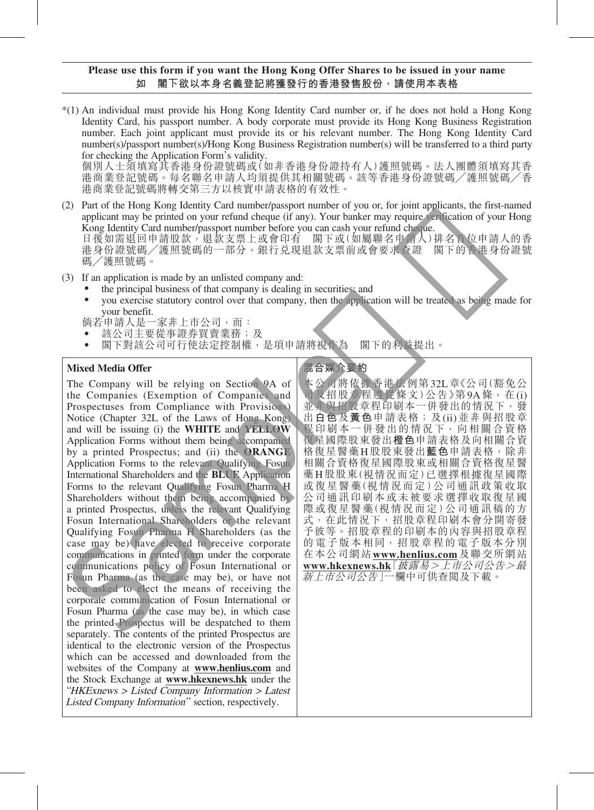### **Please use this form if you want the Hong Kong Offer Shares to be issued in your name 如 閣下欲以本身名義登記將獲發行的香港發售股份,請使用本表格**

\*(1) An individual must provide his Hong Kong Identity Card number or, if he does not hold a Hong Kong Identity Card, his passport number. A body corporate must provide its Hong Kong Business Registration number. Each joint applicant must provide its or his relevant number. The Hong Kong Identity Card number(s)/passport number(s)/Hong Kong Business Registration number(s) will be transferred to a third party for checking the Application Form's validity.

個別人士須填寫其香港身份證號碼或(如非香港身份證持有人)護照號碼。法人團體須填寫其香 港商業登記號碼。每名聯名申請人均須提供其相關號碼。該等香港身份證號碼╱護照號碼╱香 港商業登記號碼將轉交第三方以核實申請表格的有效性。

(2) Part of the Hong Kong Identity Card number/passport number of you or, for joint applicants, the first-named applicant may be printed on your refund cheque (if any). Your banker may require verification of your Hong Kong Identity Card number/passport number before you can cash your refund cheque. 日後如需退回申請股款,退款支票上或會印有 閣下或(如屬聯名申請人)排名首位申請人的香

港身份證號碼╱護照號碼的一部分。銀行兌現退款支票前或會要求查證 閣下的香港身份證號 碼╱護照號碼。

- (3) If an application is made by an unlisted company and:
	- ‧ the principal business of that company is dealing in securities; and
	- you exercise statutory control over that company, then the application will be treated as being made for your benefit.
	- 倘若申請人是一家非上市公司,而:
	- 該公司主要從事證券買賣業務;及
	- 閣下對該公司可行使法定控制權,是項申請將視作為 閣下的利益提出。

### **Mixed Media Offer**

The Company will be relying on Section 9A of the Companies (Exemption of Companies and Prospectuses from Compliance with Provisions) Notice (Chapter 32L of the Laws of Hong Kong) and will be issuing (i) the **WHITE** and **YELLOW** Application Forms without them being accompanied by a printed Prospectus; and (ii) the **ORANGE** Application Forms to the relevant Qualifying Fosun International Shareholders and the **BLUE** Application Forms to the relevant Qualifying Fosun Pharma H Shareholders without them being accompanied by a printed Prospectus, unless the relevant Qualifying Fosun International Shareholders or the relevant Qualifying Fosun Pharma H Shareholders (as the case may be) have elected to receive corporate communications in printed form under the corporate communications policy of Fosun International or Fosun Pharma (as the case may be), or have not been asked to elect the means of receiving the corporate communication of Fosun International or Fosun Pharma (as the case may be), in which case the printed Prospectus will be despatched to them separately. The contents of the printed Prospectus are identical to the electronic version of the Prospectus which can be accessed and downloaded from the websites of the Company at **www.henlius.com** and the Stock Exchange at **www.hkexnews.hk** under the "HKExnews > Listed Company Information > Latest Listed Company Information" section, respectively. And the magnitude of the sample in the sample of the sample of the sample of the sample of the sample of the sample of the sample of the sample of the property of the property of the property of the property of the prope

### **混合媒介要約**

本公司將依據香港法例第32L章《公司(豁免公 司及招股章程遵從條文)公告》第9A條,在(i) 並非與招股章程印刷本一併發出的情況下,發 出**白色**及**黃色**申請表格;及(ii)並非與招股章 程印刷本一併發出的情況下,向相關合資格 復星國際股東發出**橙色**申請表格及向相關合資 格復星醫藥H股股東發出**藍色**申請表格,除非 相關合資格復星國際股東或相關合資格復星醫 藥H股股東(視情況而定)已選擇根據復星國際 或復星醫藥(視情況而定)公司通訊政策收取 公司通訊印刷本或未被要求選擇收取復星國 際或復星醫藥(視情況而定)公司通訊稿的方 式,在此情況下,招股章程印刷本會分開寄發 予彼等。招股章程的印刷本的內容與招股章程 的電子版本相同,招股章程的電子版本分別 在本公司網站**www.henlius.com**及聯交所網站 **www.hkexnews.hk**「披露易>上市公司公告>最 新上市公司公告」一欄中可供查閱及下載。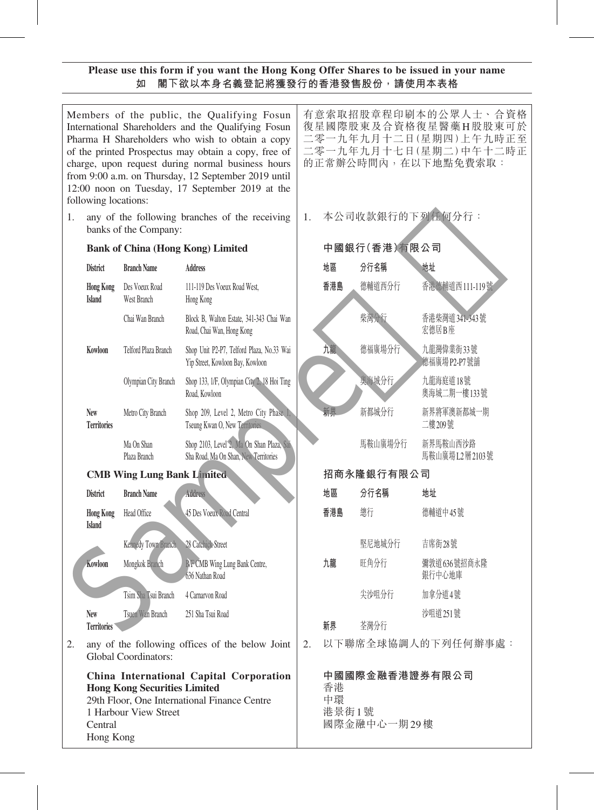## **Please use this form if you want the Hong Kong Offer Shares to be issued in your name**<br>如 閣下欲以本身名義登記將獲發行的香港發售股份,請使用本表格 **如 閣下欲以本身名義登記將獲發行的香港發售股份,請使用本表格**

| Members of the public, the Qualifying Fosun<br>International Shareholders and the Qualifying Fosun<br>Pharma H Shareholders who wish to obtain a copy<br>of the printed Prospectus may obtain a copy, free of<br>charge, upon request during normal business hours<br>from 9:00 a.m. on Thursday, 12 September 2019 until<br>12:00 noon on Tuesday, 17 September 2019 at the<br>following locations: |                                                                                                                                                                                 |                                   |                                                                                    |            |                   | 有意索取招股章程印刷本的公眾人士、合資格<br>復星國際股東及合資格復星醫藥H股股東可於<br>二零一九年九月十二日(星期四)上午九時正至<br>二零一九年九月十七日(星期二)中午十二時正<br>的正常辦公時間內, 在以下地點免費索取: |                           |  |
|------------------------------------------------------------------------------------------------------------------------------------------------------------------------------------------------------------------------------------------------------------------------------------------------------------------------------------------------------------------------------------------------------|---------------------------------------------------------------------------------------------------------------------------------------------------------------------------------|-----------------------------------|------------------------------------------------------------------------------------|------------|-------------------|------------------------------------------------------------------------------------------------------------------------|---------------------------|--|
| 1.                                                                                                                                                                                                                                                                                                                                                                                                   |                                                                                                                                                                                 | banks of the Company:             | any of the following branches of the receiving                                     | 1.         |                   |                                                                                                                        | 本公司收款銀行的下列任何分行:           |  |
|                                                                                                                                                                                                                                                                                                                                                                                                      |                                                                                                                                                                                 |                                   | <b>Bank of China (Hong Kong) Limited</b>                                           |            |                   | 中國銀行(香港)有限公司                                                                                                           |                           |  |
|                                                                                                                                                                                                                                                                                                                                                                                                      | <b>District</b>                                                                                                                                                                 | <b>Branch Name</b>                | <b>Address</b>                                                                     |            | 地區                | 分行名稱                                                                                                                   | 地址                        |  |
|                                                                                                                                                                                                                                                                                                                                                                                                      | <b>Hong Kong</b><br><b>Island</b>                                                                                                                                               | Des Voeux Road<br>West Branch     | 111-119 Des Voeux Road West,<br>Hong Kong                                          |            | 香港島               | 德輔道西分行                                                                                                                 | 香港德輔道西 111-119號           |  |
|                                                                                                                                                                                                                                                                                                                                                                                                      |                                                                                                                                                                                 | Chai Wan Branch                   | Block B, Walton Estate, 341-343 Chai Wan<br>Road, Chai Wan, Hong Kong              |            |                   | 柴灣分行                                                                                                                   | 香港柴灣道 341-343號<br>宏德居B座   |  |
|                                                                                                                                                                                                                                                                                                                                                                                                      | Kowloon                                                                                                                                                                         | Telford Plaza Branch              | Shop Unit P2-P7, Telford Plaza, No.33 Wai<br>Yip Street, Kowloon Bay, Kowloon      |            | 九龍                | 德福廣場分行                                                                                                                 | 九龍灣偉業街33號<br>德福廣場 P2-P7號舖 |  |
|                                                                                                                                                                                                                                                                                                                                                                                                      |                                                                                                                                                                                 | Olympian City Branch              | Shop 133, 1/F, Olympian City 2, 18 Hoi Ting<br>Road, Kowloon                       |            |                   | 奧海城分行                                                                                                                  | 九龍海庭道18號<br>奧海城二期一樓133號   |  |
|                                                                                                                                                                                                                                                                                                                                                                                                      | <b>New</b><br><b>Territories</b>                                                                                                                                                | Metro City Branch                 | Shop 209, Level 2, Metro City Phase 1,<br>Tseung Kwan O, New Territories           |            |                   | 新都城分行                                                                                                                  | 新界將軍澳新都城一期<br>二樓209號      |  |
|                                                                                                                                                                                                                                                                                                                                                                                                      |                                                                                                                                                                                 | Ma On Shan<br>Plaza Branch        | Shop 2103, Level 2, Ma On Shan Plaza, Sai<br>Sha Road, Ma On Shan, New Territories |            |                   | 馬鞍山廣場分行                                                                                                                | 新界馬鞍山西沙路<br>馬鞍山廣場L2層2103號 |  |
|                                                                                                                                                                                                                                                                                                                                                                                                      |                                                                                                                                                                                 | <b>CMB Wing Lung Bank Limited</b> |                                                                                    | 招商永隆銀行有限公司 |                   |                                                                                                                        |                           |  |
|                                                                                                                                                                                                                                                                                                                                                                                                      | <b>District</b>                                                                                                                                                                 | <b>Branch Name</b>                | <b>Address</b>                                                                     |            | 地區                | 分行名稱                                                                                                                   | 地址                        |  |
|                                                                                                                                                                                                                                                                                                                                                                                                      | <b>Hong Kong</b><br><b>Island</b>                                                                                                                                               | Head Office                       | <b>45 Des Voeux Road Central</b>                                                   |            | 香港島               | 總行                                                                                                                     | 德輔道中45號                   |  |
|                                                                                                                                                                                                                                                                                                                                                                                                      |                                                                                                                                                                                 | Kennedy Town Branch               | 28 Catchick Street                                                                 |            |                   | 堅尼地城分行                                                                                                                 | 吉席街28號                    |  |
|                                                                                                                                                                                                                                                                                                                                                                                                      | Kowloon                                                                                                                                                                         | Mongkok Branch                    | <b>B/F CMB Wing Lung Bank Centre,</b><br>636 Nathan Road                           |            | 九龍                | 旺角分行                                                                                                                   | 彌敦道636號招商永隆<br>銀行中心地庫     |  |
|                                                                                                                                                                                                                                                                                                                                                                                                      |                                                                                                                                                                                 | Tsim Sha Tsui Branch              | 4 Carnarvon Road                                                                   |            |                   | 尖沙咀分行                                                                                                                  | 加拿分道4號                    |  |
|                                                                                                                                                                                                                                                                                                                                                                                                      | <b>New</b><br><b>Territories</b>                                                                                                                                                | Tsuen Wan Branch                  | 251 Sha Tsui Road                                                                  |            | 新界                | 荃灣分行                                                                                                                   | 沙咀道 251號                  |  |
| 2.                                                                                                                                                                                                                                                                                                                                                                                                   |                                                                                                                                                                                 | <b>Global Coordinators:</b>       | any of the following offices of the below Joint                                    | 2.         |                   |                                                                                                                        | 以下聯席全球協調人的下列任何辦事處:        |  |
|                                                                                                                                                                                                                                                                                                                                                                                                      | China International Capital Corporation<br><b>Hong Kong Securities Limited</b><br>29th Floor, One International Finance Centre<br>1 Harbour View Street<br>Central<br>Hong Kong |                                   |                                                                                    |            | 香港<br>中環<br>港景街1號 | 中國國際金融香港證券有限公司<br>國際金融中心一期29樓                                                                                          |                           |  |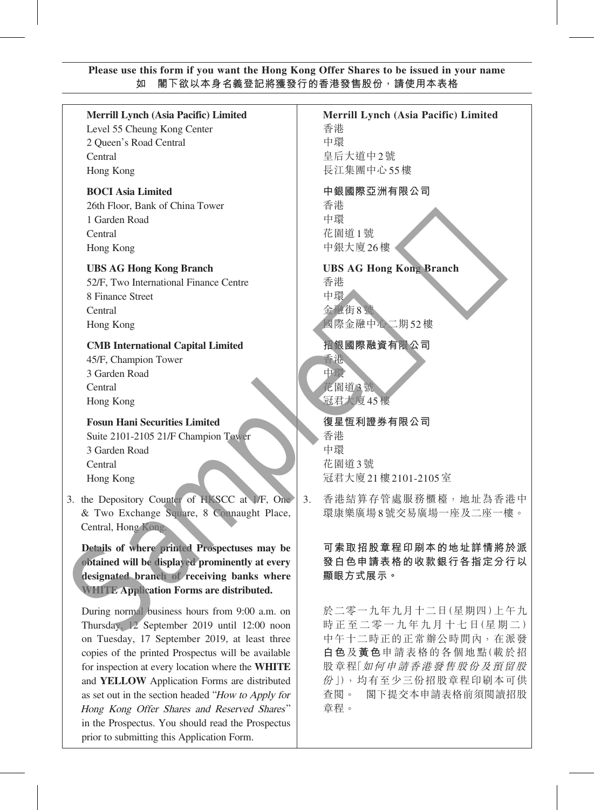**Please use this form if you want the Hong Kong Offer Shares to be issued in your name 如 閣下欲以本身名義登記將獲發行的香港發售股份,請使用本表格**

## **Merrill Lynch (Asia Pacific) Limited** Level 55 Cheung Kong Center 2 Queen's Road Central Central Hong Kong

**BOCI Asia Limited** 26th Floor, Bank of China Tower 1 Garden Road Central Hong Kong

### **UBS AG Hong Kong Branch** 52/F, Two International Finance Centre 8 Finance Street

Central Hong Kong

## **CMB International Capital Limited**

45/F, Champion Tower 3 Garden Road Central Hong Kong

**Fosun Hani Securities Limited** Suite 2101-2105 21/F Champion Tower 3 Garden Road Central Hong Kong

## 3. the Depository Counter of HKSCC at 1/F, One & Two Exchange Square, 8 Connaught Place, Central, Hong Kong.

**Details of where printed Prospectuses may be obtained will be displayed prominently at every designated branch of receiving banks where WHITE Application Forms are distributed.** Central<br>
Nong Kong Branch<br>
Sample Sample Thanks Centre<br>
Sample Sample Thanks Centre<br>
Sample Sample Thanks Centre<br>
Sample Sample Sample Sample Sample Sample Sample Sample Sample Sample Sample Sample Sample Sample Sample S

During normal business hours from 9:00 a.m. on Thursday, 12 September 2019 until 12:00 noon on Tuesday, 17 September 2019, at least three copies of the printed Prospectus will be available for inspection at every location where the **WHITE** and **YELLOW** Application Forms are distributed as set out in the section headed "How to Apply for Hong Kong Offer Shares and Reserved Shares" in the Prospectus. You should read the Prospectus prior to submitting this Application Form.

## **Merrill Lynch (Asia Pacific) Limited**

香港 中環 皇后大道中2號 長江集團中心55樓

**中銀國際亞洲有限公司** 香港 中環 花園道1號 中銀大廈26樓

## **UBS AG Hong Kong Branch**

香港 中環 金融街8號 國際金融中心二期52樓

**招銀國際融資有限公司** 香港 中環 花園道3號 冠君大廈45樓

**復星恆利證券有限公司** 香港 中環 花園道3號 冠君大廈21樓2101-2105室

3. 香港結算存管處服務櫃檯,地址為香港中 環康樂廣場8號交易廣場一座及二座一樓。

## **可索取招股章程印刷本的地址詳情將於派 發白色申請表格的收款銀行各指定分行以 顯眼方式展示。**

於二零一九年九月十二日(星期四)上午九 時正至二零一九年九月十七日(星期二) 中午十二時正的正常辦公時間內,在派發 **白色**及**黃色**申請表格的各個地點(載於招 股章程「如何申請香港發售股份及預留股 份 |),均有至少三份招股章程印刷本可供 查閱。 閣下提交本申請表格前須閱讀招股 章程。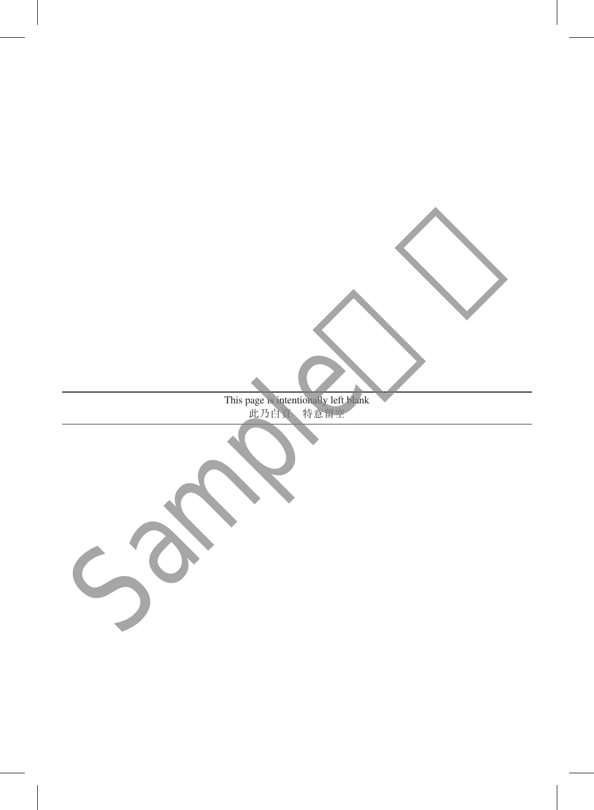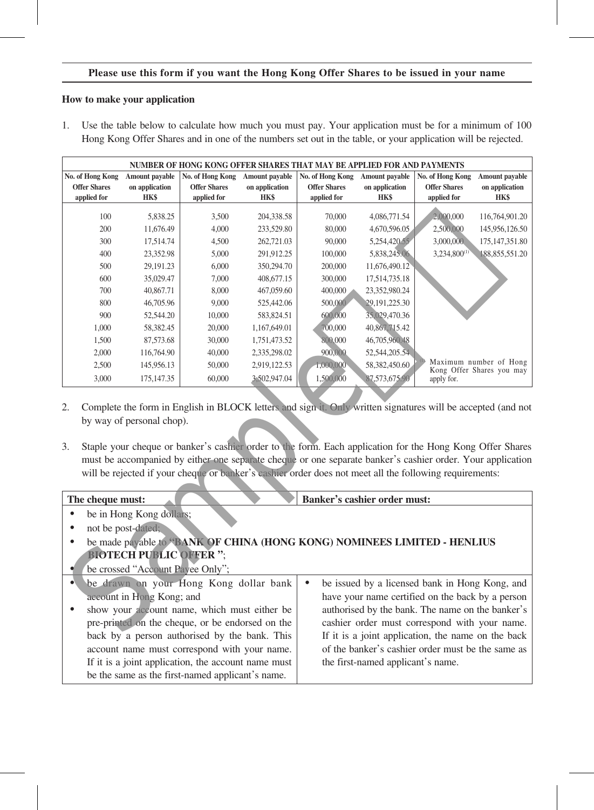### **Please use this form if you want the Hong Kong Offer Shares to be issued in your name**

### **How to make your application**

1. Use the table below to calculate how much you must pay. Your application must be for a minimum of 100 Hong Kong Offer Shares and in one of the numbers set out in the table, or your application will be rejected.

| No. of Hong Kong<br>No. of Hong Kong<br>No. of Hong Kong<br>No. of Hong Kong<br>Amount payable<br>Amount payable<br>Amount payable<br><b>Amount payable</b><br><b>Offer Shares</b><br><b>Offer Shares</b><br>on application<br><b>Offer Shares</b><br>on application<br>on application<br><b>Offer Shares</b><br>on application<br>applied for<br><b>HK\$</b><br><b>HK\$</b><br>applied for<br><b>HK\$</b><br>HK\$<br>applied for<br>applied for<br>100<br>4,086,771.54<br>5,838.25<br>3,500<br>204,338.58<br>70,000<br>2,000,000<br>116,764,901.20<br>200<br>11,676.49<br>4,000<br>233,529.80<br>80,000<br>4,670,596.05<br>2,500,000<br>145,956,126.50<br>300<br>17,514.74<br>4,500<br>262,721.03<br>90,000<br>5,254,420.55<br>3,000,000<br>175, 147, 351.80<br>291,912.25<br>400<br>23,352.98<br>5,000<br>100,000<br>5,838,245.06<br>3,234,800 <sup>(1)</sup><br>188, 855, 551. 20<br>500<br>29,191.23<br>6,000<br>350,294.70<br>200,000<br>11,676,490.12<br>600<br>35,029.47<br>7,000<br>408,677.15<br>300,000<br>17,514,735.18<br>700<br>40,867.71<br>8,000<br>467,059.60<br>23,352,980.24<br>400,000<br>800<br>46,705.96<br>9,000<br>525,442.06<br>29, 191, 225. 30<br>500,000<br>900<br>52,544.20<br>10,000<br>583,824.51<br>600,000<br>35,029,470.36<br>1,000<br>58,382.45<br>20,000<br>1,167,649.01<br>40,867,715.42<br>700,000<br>1,500<br>30,000<br>1,751,473.52<br>87,573.68<br>800,000<br>46,705,960.48<br>2,000<br>116,764.90<br>40,000<br>2,335,298.02<br>900,000<br>52, 544, 205. 54<br>Maximum number of Hong<br>2,500<br>2,919,122.53<br>58,382,450.60<br>145,956.13<br>50,000<br>1,000,000<br>Kong Offer Shares you may<br>1,500,000<br>3,000<br>175, 147. 35<br>60,000<br>3,502,947.04<br>87,573,675.90<br>apply for. | NUMBER OF HONG KONG OFFER SHARES THAT MAY BE APPLIED FOR AND PAYMENTS |  |  |  |  |  |  |
|------------------------------------------------------------------------------------------------------------------------------------------------------------------------------------------------------------------------------------------------------------------------------------------------------------------------------------------------------------------------------------------------------------------------------------------------------------------------------------------------------------------------------------------------------------------------------------------------------------------------------------------------------------------------------------------------------------------------------------------------------------------------------------------------------------------------------------------------------------------------------------------------------------------------------------------------------------------------------------------------------------------------------------------------------------------------------------------------------------------------------------------------------------------------------------------------------------------------------------------------------------------------------------------------------------------------------------------------------------------------------------------------------------------------------------------------------------------------------------------------------------------------------------------------------------------------------------------------------------------------------------------------------------------------------------------------------------------------------------------|-----------------------------------------------------------------------|--|--|--|--|--|--|
|                                                                                                                                                                                                                                                                                                                                                                                                                                                                                                                                                                                                                                                                                                                                                                                                                                                                                                                                                                                                                                                                                                                                                                                                                                                                                                                                                                                                                                                                                                                                                                                                                                                                                                                                          |                                                                       |  |  |  |  |  |  |
|                                                                                                                                                                                                                                                                                                                                                                                                                                                                                                                                                                                                                                                                                                                                                                                                                                                                                                                                                                                                                                                                                                                                                                                                                                                                                                                                                                                                                                                                                                                                                                                                                                                                                                                                          |                                                                       |  |  |  |  |  |  |
|                                                                                                                                                                                                                                                                                                                                                                                                                                                                                                                                                                                                                                                                                                                                                                                                                                                                                                                                                                                                                                                                                                                                                                                                                                                                                                                                                                                                                                                                                                                                                                                                                                                                                                                                          |                                                                       |  |  |  |  |  |  |
|                                                                                                                                                                                                                                                                                                                                                                                                                                                                                                                                                                                                                                                                                                                                                                                                                                                                                                                                                                                                                                                                                                                                                                                                                                                                                                                                                                                                                                                                                                                                                                                                                                                                                                                                          |                                                                       |  |  |  |  |  |  |
|                                                                                                                                                                                                                                                                                                                                                                                                                                                                                                                                                                                                                                                                                                                                                                                                                                                                                                                                                                                                                                                                                                                                                                                                                                                                                                                                                                                                                                                                                                                                                                                                                                                                                                                                          |                                                                       |  |  |  |  |  |  |
|                                                                                                                                                                                                                                                                                                                                                                                                                                                                                                                                                                                                                                                                                                                                                                                                                                                                                                                                                                                                                                                                                                                                                                                                                                                                                                                                                                                                                                                                                                                                                                                                                                                                                                                                          |                                                                       |  |  |  |  |  |  |
|                                                                                                                                                                                                                                                                                                                                                                                                                                                                                                                                                                                                                                                                                                                                                                                                                                                                                                                                                                                                                                                                                                                                                                                                                                                                                                                                                                                                                                                                                                                                                                                                                                                                                                                                          |                                                                       |  |  |  |  |  |  |
|                                                                                                                                                                                                                                                                                                                                                                                                                                                                                                                                                                                                                                                                                                                                                                                                                                                                                                                                                                                                                                                                                                                                                                                                                                                                                                                                                                                                                                                                                                                                                                                                                                                                                                                                          |                                                                       |  |  |  |  |  |  |
|                                                                                                                                                                                                                                                                                                                                                                                                                                                                                                                                                                                                                                                                                                                                                                                                                                                                                                                                                                                                                                                                                                                                                                                                                                                                                                                                                                                                                                                                                                                                                                                                                                                                                                                                          |                                                                       |  |  |  |  |  |  |
|                                                                                                                                                                                                                                                                                                                                                                                                                                                                                                                                                                                                                                                                                                                                                                                                                                                                                                                                                                                                                                                                                                                                                                                                                                                                                                                                                                                                                                                                                                                                                                                                                                                                                                                                          |                                                                       |  |  |  |  |  |  |
|                                                                                                                                                                                                                                                                                                                                                                                                                                                                                                                                                                                                                                                                                                                                                                                                                                                                                                                                                                                                                                                                                                                                                                                                                                                                                                                                                                                                                                                                                                                                                                                                                                                                                                                                          |                                                                       |  |  |  |  |  |  |
|                                                                                                                                                                                                                                                                                                                                                                                                                                                                                                                                                                                                                                                                                                                                                                                                                                                                                                                                                                                                                                                                                                                                                                                                                                                                                                                                                                                                                                                                                                                                                                                                                                                                                                                                          |                                                                       |  |  |  |  |  |  |
|                                                                                                                                                                                                                                                                                                                                                                                                                                                                                                                                                                                                                                                                                                                                                                                                                                                                                                                                                                                                                                                                                                                                                                                                                                                                                                                                                                                                                                                                                                                                                                                                                                                                                                                                          |                                                                       |  |  |  |  |  |  |
|                                                                                                                                                                                                                                                                                                                                                                                                                                                                                                                                                                                                                                                                                                                                                                                                                                                                                                                                                                                                                                                                                                                                                                                                                                                                                                                                                                                                                                                                                                                                                                                                                                                                                                                                          |                                                                       |  |  |  |  |  |  |
|                                                                                                                                                                                                                                                                                                                                                                                                                                                                                                                                                                                                                                                                                                                                                                                                                                                                                                                                                                                                                                                                                                                                                                                                                                                                                                                                                                                                                                                                                                                                                                                                                                                                                                                                          |                                                                       |  |  |  |  |  |  |
|                                                                                                                                                                                                                                                                                                                                                                                                                                                                                                                                                                                                                                                                                                                                                                                                                                                                                                                                                                                                                                                                                                                                                                                                                                                                                                                                                                                                                                                                                                                                                                                                                                                                                                                                          |                                                                       |  |  |  |  |  |  |
|                                                                                                                                                                                                                                                                                                                                                                                                                                                                                                                                                                                                                                                                                                                                                                                                                                                                                                                                                                                                                                                                                                                                                                                                                                                                                                                                                                                                                                                                                                                                                                                                                                                                                                                                          |                                                                       |  |  |  |  |  |  |

- 2. Complete the form in English in BLOCK letters and sign it. Only written signatures will be accepted (and not by way of personal chop).
- 3. Staple your cheque or banker's cashier order to the form. Each application for the Hong Kong Offer Shares must be accompanied by either one separate cheque or one separate banker's cashier order. Your application will be rejected if your cheque or banker's cashier order does not meet all the following requirements:

|           | 2,000              | 116,764.90                                          | 40,000 | 2,335,298.02 | 900,000   | 52,544,205.54                     |                                                                                                              |
|-----------|--------------------|-----------------------------------------------------|--------|--------------|-----------|-----------------------------------|--------------------------------------------------------------------------------------------------------------|
|           | 2,500              | 145,956.13                                          | 50,000 | 2,919,122.53 | 1,000,000 | 58,382,450.60                     | Maximum number of Hong<br>Kong Offer Shares you may                                                          |
|           | 3,000              | 175, 147. 35                                        | 60,000 | 3,502,947.04 | 1,500,000 | 87,573,675.90                     | apply for.                                                                                                   |
|           |                    |                                                     |        |              |           |                                   |                                                                                                              |
| 2.        |                    |                                                     |        |              |           |                                   | Complete the form in English in BLOCK letters and sign it. Only written signatures will be accepted (and not |
|           |                    | by way of personal chop).                           |        |              |           |                                   |                                                                                                              |
|           |                    |                                                     |        |              |           |                                   |                                                                                                              |
| 3.        |                    |                                                     |        |              |           |                                   | Staple your cheque or banker's cashier order to the form. Each application for the Hong Kong Offer Shares    |
|           |                    |                                                     |        |              |           |                                   | must be accompanied by either one separate cheque or one separate banker's cashier order. Your application   |
|           |                    |                                                     |        |              |           |                                   | will be rejected if your cheque or banker's cashier order does not meet all the following requirements:      |
|           |                    |                                                     |        |              |           |                                   |                                                                                                              |
|           | The cheque must:   |                                                     |        |              |           | Banker's cashier order must:      |                                                                                                              |
| $\bullet$ |                    | be in Hong Kong dollars;                            |        |              |           |                                   |                                                                                                              |
| $\bullet$ | not be post-dated; |                                                     |        |              |           |                                   |                                                                                                              |
|           |                    |                                                     |        |              |           |                                   | be made payable to "BANK OF CHINA (HONG KONG) NOMINEES LIMITED - HENLIUS                                     |
|           |                    | <b>BIOTECH PUBLIC OFFER ";</b>                      |        |              |           |                                   |                                                                                                              |
|           |                    | be crossed "Account Payee Only";                    |        |              |           |                                   |                                                                                                              |
| $\bullet$ |                    | be drawn on your Hong Kong dollar bank              |        |              |           |                                   | be issued by a licensed bank in Hong Kong, and                                                               |
|           |                    | account in Hong Kong; and                           |        |              |           |                                   | have your name certified on the back by a person                                                             |
|           |                    | show your account name, which must either be        |        |              |           |                                   | authorised by the bank. The name on the banker's                                                             |
|           |                    | pre-printed on the cheque, or be endorsed on the    |        |              |           |                                   | cashier order must correspond with your name.                                                                |
|           |                    | back by a person authorised by the bank. This       |        |              |           |                                   | If it is a joint application, the name on the back                                                           |
|           |                    | account name must correspond with your name.        |        |              |           |                                   | of the banker's cashier order must be the same as                                                            |
|           |                    | If it is a joint application, the account name must |        |              |           | the first-named applicant's name. |                                                                                                              |
|           |                    | be the same as the first-named applicant's name.    |        |              |           |                                   |                                                                                                              |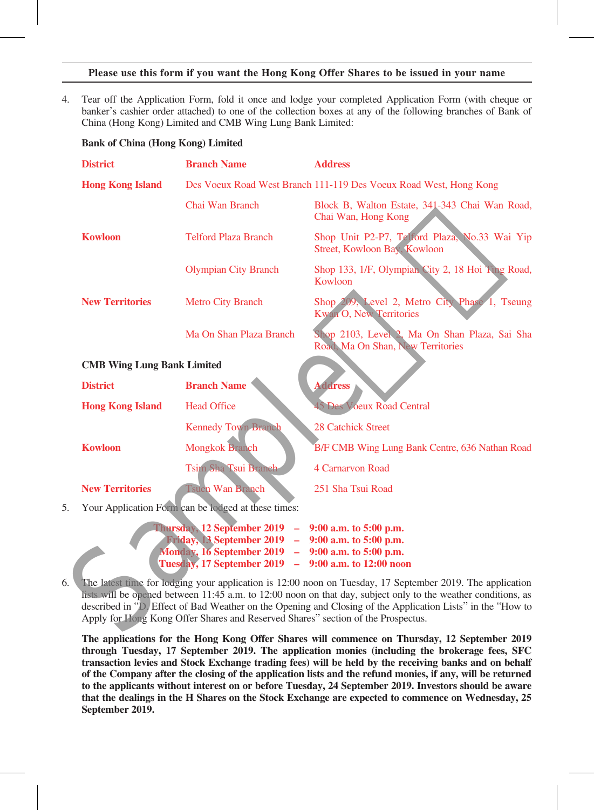### **Please use this form if you want the Hong Kong Offer Shares to be issued in your name**

4. Tear off the Application Form, fold it once and lodge your completed Application Form (with cheque or banker's cashier order attached) to one of the collection boxes at any of the following branches of Bank of China (Hong Kong) Limited and CMB Wing Lung Bank Limited:

|    | <b>District</b>                                                                                                                                                                                                                                                                                                                                                                                                              | <b>Branch Name</b>                                  | <b>Address</b>                                                                     |  |  |  |  |
|----|------------------------------------------------------------------------------------------------------------------------------------------------------------------------------------------------------------------------------------------------------------------------------------------------------------------------------------------------------------------------------------------------------------------------------|-----------------------------------------------------|------------------------------------------------------------------------------------|--|--|--|--|
|    | <b>Hong Kong Island</b>                                                                                                                                                                                                                                                                                                                                                                                                      |                                                     | Des Voeux Road West Branch 111-119 Des Voeux Road West, Hong Kong                  |  |  |  |  |
|    |                                                                                                                                                                                                                                                                                                                                                                                                                              | Chai Wan Branch                                     | Block B, Walton Estate, 341-343 Chai Wan Road,<br>Chai Wan, Hong Kong              |  |  |  |  |
|    | <b>Kowloon</b>                                                                                                                                                                                                                                                                                                                                                                                                               | <b>Telford Plaza Branch</b>                         | Shop Unit P2-P7, Telford Plaza, No.33 Wai Yip<br>Street, Kowloon Bay, Kowloon      |  |  |  |  |
|    |                                                                                                                                                                                                                                                                                                                                                                                                                              | <b>Olympian City Branch</b>                         | Shop 133, 1/F, Olympian City 2, 18 Hoi Ting Road,<br>Kowloon                       |  |  |  |  |
|    | <b>New Territories</b>                                                                                                                                                                                                                                                                                                                                                                                                       | <b>Metro City Branch</b>                            | Shop 209, Level 2, Metro City Phase 1, Tseung<br><b>Kwan O, New Territories</b>    |  |  |  |  |
|    |                                                                                                                                                                                                                                                                                                                                                                                                                              | Ma On Shan Plaza Branch                             | Shop 2103, Level 2, Ma On Shan Plaza, Sai Sha<br>Road, Ma On Shan, New Territories |  |  |  |  |
|    | <b>CMB Wing Lung Bank Limited</b>                                                                                                                                                                                                                                                                                                                                                                                            |                                                     |                                                                                    |  |  |  |  |
|    | <b>District</b>                                                                                                                                                                                                                                                                                                                                                                                                              | <b>Branch Name</b>                                  | <b>Address</b>                                                                     |  |  |  |  |
|    | <b>Hong Kong Island</b>                                                                                                                                                                                                                                                                                                                                                                                                      | <b>Head Office</b>                                  | <b>5 Des Voeux Road Central</b>                                                    |  |  |  |  |
|    |                                                                                                                                                                                                                                                                                                                                                                                                                              | <b>Kennedy Town Branch</b>                          | <b>28 Catchick Street</b>                                                          |  |  |  |  |
|    | <b>Kowloon</b>                                                                                                                                                                                                                                                                                                                                                                                                               | <b>Mongkok Branch</b>                               | B/F CMB Wing Lung Bank Centre, 636 Nathan Road                                     |  |  |  |  |
|    |                                                                                                                                                                                                                                                                                                                                                                                                                              | Tsim Sha Tsui Branch                                | 4 Carnarvon Road                                                                   |  |  |  |  |
|    | <b>New Territories</b>                                                                                                                                                                                                                                                                                                                                                                                                       | Tsuen Wan Branch                                    | 251 Sha Tsui Road                                                                  |  |  |  |  |
| 5. |                                                                                                                                                                                                                                                                                                                                                                                                                              | Your Application Form can be lodged at these times: |                                                                                    |  |  |  |  |
|    | <b>Thursday, 12 September 2019</b> $-$ 9:00 a.m. to 5:00 p.m.<br>Friday, 13 September 2019 – $9:00$ a.m. to 5:00 p.m.<br>Monday, 16 September 2019 – 9:00 a.m. to 5:00 p.m.<br>Tuesday, 17 September 2019 $-$ 9:00 a.m. to 12:00 noon                                                                                                                                                                                        |                                                     |                                                                                    |  |  |  |  |
| 6. | The latest time for lodging your application is 12:00 noon on Tuesday, 17 September 2019. The application<br>lists will be opened between 11:45 a.m. to 12:00 noon on that day, subject only to the weather conditions, as<br>described in "D. Effect of Bad Weather on the Opening and Closing of the Application Lists" in the "How to<br>Apply for Hong Kong Offer Shares and Reserved Shares" section of the Prospectus. |                                                     |                                                                                    |  |  |  |  |
|    |                                                                                                                                                                                                                                                                                                                                                                                                                              |                                                     |                                                                                    |  |  |  |  |

### **Bank of China (Hong Kong) Limited**

**The applications for the Hong Kong Offer Shares will commence on Thursday, 12 September 2019 through Tuesday, 17 September 2019. The application monies (including the brokerage fees, SFC transaction levies and Stock Exchange trading fees) will be held by the receiving banks and on behalf of the Company after the closing of the application lists and the refund monies, if any, will be returned to the applicants without interest on or before Tuesday, 24 September 2019. Investors should be aware that the dealings in the H Shares on the Stock Exchange are expected to commence on Wednesday, 25 September 2019.**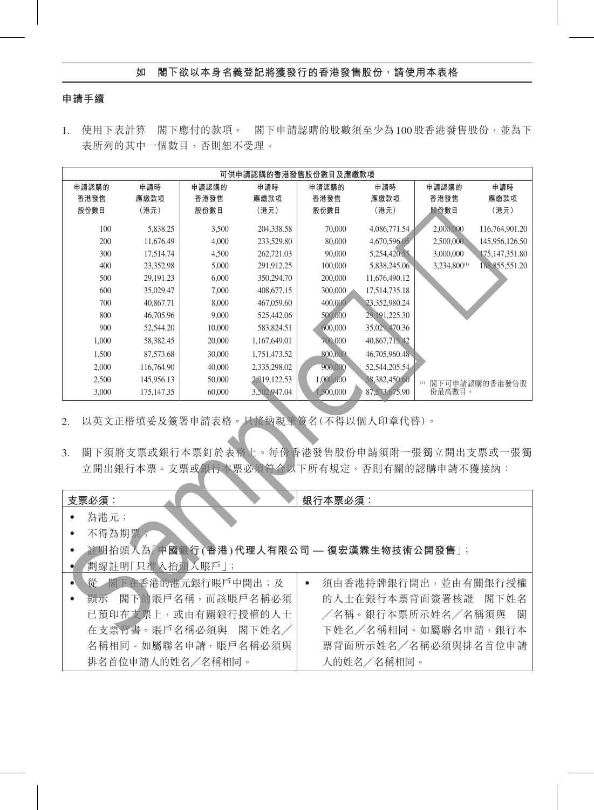### **如 閣下欲以本身名義登記將獲發行的香港發售股份,請使用本表格**

### **申請手續**

1. 使用下表計算 閣下應付的款項。 閣下申請認購的股數須至少為100股香港發售股份,並為下 表所列的其中一個數目,否則恕不受理。

|       | 可供申請認購的香港發售股份數目及應繳款項 |        |              |           |                  |                          |                   |
|-------|----------------------|--------|--------------|-----------|------------------|--------------------------|-------------------|
| 申請認購的 | 申請時                  | 申請認購的  | 申請時          | 申請認購的     | 申請時              | 申請認購的                    | 申請時               |
| 香港發售  | 應繳款項                 | 香港發售   | 應繳款項         | 香港發售      | 應繳款項             | 香港發售                     | 應繳款項              |
| 股份數目  | (港元)                 | 股份數目   | (港元)         | 股份數目      | (港元)             | 股份數目                     | (港元)              |
| 100   | 5,838.25             | 3,500  | 204,338.58   | 70,000    | 4,086,771.54     | 2,000,000                | 116,764,901.20    |
| 200   | 11,676.49            | 4,000  | 233,529.80   | 80,000    | 4,670,596.05     | 2,500,000                | 145,956,126.50    |
| 300   | 17,514.74            | 4,500  | 262,721.03   | 90,000    | 5,254,420.55     | 3,000,000                | 175, 147, 351.80  |
| 400   | 23,352.98            | 5,000  | 291,912.25   | 100,000   | 5,838,245.06     | 3,234,800 <sup>(1)</sup> | 188, 855, 551. 20 |
| 500   | 29,191.23            | 6,000  | 350,294.70   | 200,000   | 11,676,490.12    |                          |                   |
| 600   | 35,029.47            | 7,000  | 408,677.15   | 300,000   | 17,514,735.18    |                          |                   |
| 700   | 40,867.71            | 8,000  | 467,059.60   | 400,000   | 23,352,980.24    |                          |                   |
| 800   | 46,705.96            | 9,000  | 525,442.06   | 500,000   | 29, 191, 225. 30 |                          |                   |
| 900   | 52,544.20            | 10,000 | 583,824.51   | 600,000   | 35,029,470.36    |                          |                   |
| 1,000 | 58,382.45            | 20,000 | 1,167,649.01 | 700,000   | 40,867,715.42    |                          |                   |
| 1,500 | 87,573.68            | 30,000 | 1,751,473.52 | 800,000   | 46,705,960.48    |                          |                   |
| 2,000 | 116,764.90           | 40,000 | 2,335,298.02 | 900,000   | 52,544,205.54    |                          |                   |
| 2,500 | 145,956.13           | 50,000 | 2,919,122.53 | 1,000,000 | 58,382,450.60    | (1)                      | 閣下可申請認購的香港發售股     |
| 3,000 | 175, 147. 35         | 60,000 | 3,502,947.04 | 1,500,000 | 87,573,675.90    | 份最高數目。                   |                   |

|           | 1,500 | 87,573.68     | 30,000              | 1,751,473.52 | 800,000                                 | 46,705,960.48  |                                           |
|-----------|-------|---------------|---------------------|--------------|-----------------------------------------|----------------|-------------------------------------------|
|           | 2,000 | 116,764.90    | 40,000              | 2,335,298.02 | 900,000                                 | 52,544,205.54  |                                           |
|           | 2,500 | 145,956.13    | 50,000              | 2,919,122.53 | 1,000,000                               | 58,382,450.60  | 閣下可申請認購的香港發售股                             |
|           | 3,000 | 175, 147. 35  | 60,000              | 3,502,947.04 | 1,500,000                               | 87,573,675.90  | 份最高數目。                                    |
|           |       |               |                     |              |                                         |                |                                           |
| 2.        |       |               |                     |              | 以英文正楷填妥及簽署申請表格。只接納親筆簽名(不得以個人印章代替)。      |                |                                           |
|           |       |               |                     |              |                                         |                |                                           |
| 3.        |       |               |                     |              |                                         |                | 閣下須將支票或銀行本票釘於表格上。每份香港發售股份申請須附一張獨立開出支票或一張獨 |
|           |       |               |                     |              |                                         |                | 立開出銀行本票。支票或銀行本票必須符合以下所有規定,否則有關的認購申請不獲接納:  |
|           |       |               |                     |              |                                         |                |                                           |
|           | 支票必須: |               |                     |              | 銀行本票必須:                                 |                |                                           |
|           | 為港元;  |               |                     |              |                                         |                |                                           |
| $\bullet$ | 不得為期票 |               |                     |              |                                         |                |                                           |
|           |       |               |                     |              | 註明抬頭人為「中國銀行(香港)代理人有限公司 — 復宏漢霖生物技術公開發售」; |                |                                           |
|           |       |               | 劃線註明「只准入抬頭人賬戶」;     |              |                                         |                |                                           |
| $\bullet$ | 從     |               | - 閣下在香港的港元銀行賬戶中開出;及 |              | $\bullet$                               |                | 須由香港持牌銀行開出,並由有關銀行授權                       |
|           | 顯示    |               | 閣下的賬戶名稱,而該賬戶名稱必須    |              |                                         | 的人士在銀行本票背面簽署核證 | 閣下姓名                                      |
|           |       |               | 已預印在支票上,或由有關銀行授權的人士 |              |                                         |                | /名稱。銀行本票所示姓名/名稱須與<br>閣                    |
|           |       | 在支票背書。賬戶名稱必須與 |                     | 閣下姓名/        |                                         |                | 下姓名/名稱相同。如屬聯名申請,銀行本                       |
|           |       |               | 名稱相同。如屬聯名申請,賬戶名稱必須與 |              |                                         |                | 票背面所示姓名/名稱必須與排名首位申請                       |
|           |       |               | 排名首位申請人的姓名/名稱相同。    |              |                                         | 人的姓名/名稱相同。     |                                           |
|           |       |               |                     |              |                                         |                |                                           |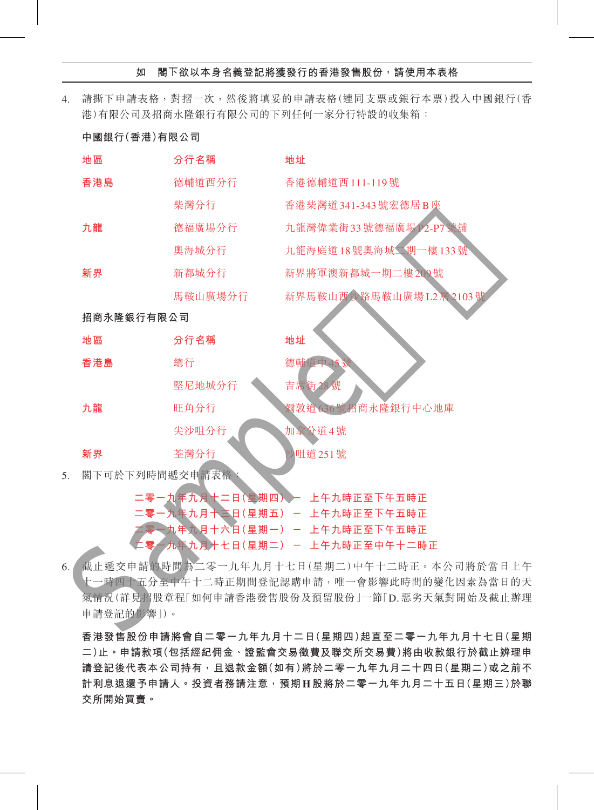### **如 閣下欲以本身名義登記將獲發行的香港發售股份,請使用本表格**

4. 請撕下申請表格,對摺一次,然後將填妥的申請表格(連同支票或銀行本票)投入中國銀行(香 港)有限公司及招商永隆銀行有限公司的下列任何一家分行特設的收集箱:

**中國銀行(香港)有限公司**

| 地區  | 分行名稱    | 地址                    |
|-----|---------|-----------------------|
| 香港島 | 德輔道西分行  | 香港德輔道西 111-119號       |
|     | 柴灣分行    | 香港柴灣道341-343號宏德居B座    |
| 九龍  | 德福廣場分行  | 九龍灣偉業街33號德福廣場 P2-P7號舖 |
|     | 奧海城分行   | 九龍海庭道18號奧海城二期一樓133號   |
| 新界  | 新都城分行   | 新界將軍澳新都城一期二樓209號      |
|     | 馬鞍山廣場分行 | 新界馬鞍山西沙路馬鞍山廣場L2層2103號 |

|    | ノし月巳           | 応1間  貝   勿 刀 1 ] |                                                                                                                                        |
|----|----------------|------------------|----------------------------------------------------------------------------------------------------------------------------------------|
|    |                | 奧海城分行            | 九龍海庭道18號奧海城二期一樓133號                                                                                                                    |
|    | 新界             | 新都城分行            | 新界將軍澳新都城一期二樓209號                                                                                                                       |
|    |                | 馬鞍山廣場分行          | 新界馬鞍山西沙路馬鞍山廣場 L2 層 2103號                                                                                                               |
|    | 招商永隆銀行有限公司     |                  |                                                                                                                                        |
|    | 地區             | 分行名稱             | 地址                                                                                                                                     |
|    | 香港島            | 總行               | 德輔道中45號                                                                                                                                |
|    |                | 堅尼地城分行           | 吉席街28號                                                                                                                                 |
|    | 九龍             | 旺角分行             | 麻敦道636號招商永隆銀行中心地庫                                                                                                                      |
|    |                | 尖沙咀分行            | 加拿分道4號                                                                                                                                 |
|    | 新界             | 荃灣分行             | 沙咀道 251號                                                                                                                               |
| 5. | 閣下可於下列時間遞交申請表格 |                  |                                                                                                                                        |
|    |                |                  | 二零一九年九月十二日《星期四》一》上午九時正至下午五時正                                                                                                           |
|    |                |                  | 二零一九年九月十三日(星期五) - 上午九時正至下午五時正                                                                                                          |
|    |                |                  | ━九年九月十六日(星期一) ─ 上午九時正至下午五時正<br>零一九年九月十七日(星期二) - 上午九時正至中午十二時正                                                                           |
| 6. |                |                  | 截止遞交申請的時間為二零一九年九月十七日(星期二)中午十二時正。本公司將於當日上午<br>十一時四十五分至中午十二時正期間登記認購申請,唯一會影響此時間的變化因素為當日的天<br>氣情況(詳見招股章程「如何申請香港發售股份及預留股份」一節「D.惡劣天氣對開始及截止辦理 |
|    | 申請登記的影響」)。     |                  | 禾 洪 淼 每 趴 囚 击 诖 收 佘 白 一 泰 一 五 左 五 日 丄 一 口 / 日 期 皿 \ 扣 古 云 一 泰 一 五 左 五 日 丄 レ ロ / 日 邯                                                    |
|    |                |                  |                                                                                                                                        |

|  |  |  | 二零一九年 <mark>九月十二日《星期四》 /</mark> 上午九時正至下午五時正 |
|--|--|--|---------------------------------------------|
|  |  |  | 二零一九年九月十三日(星期五) - 上午九時正至下午五時正               |
|  |  |  | 二零一九年九月十六日(星期一) - 上午九時正至下午五時正               |
|  |  |  |                                             |

**香港發售股份申請將會自二零一九年九月十二日(星期四)起直至二零一九年九月十七日(星期 二)止。申請款項(包括經紀佣金、證監會交易徵費及聯交所交易費)將由收款銀行於截止辨理申 請登記後代表本公司持有,且退款金額(如有)將於二零一九年九月二十四日(星期二)或之前不 計利息退還予申請人。投資者務請注意,預期H股將於二零一九年九月二十五日(星期三)於聯 交所開始買賣。**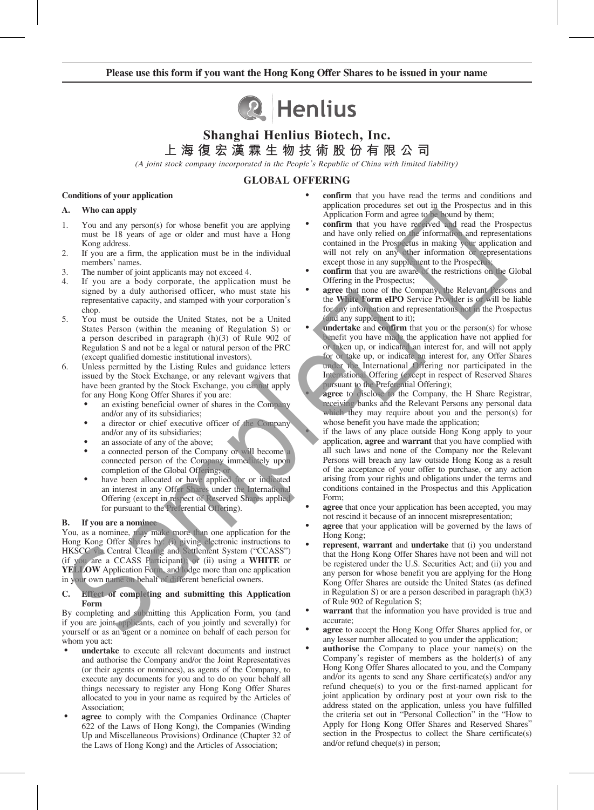

# **Shanghai Henlius Biotech, Inc. 上海復宏漢霖生物技術股份有限公司**

(A joint stock company incorporated in the People's Republic of China with limited liability)

### **GLOBAL OFFERING**

#### **Conditions of your application**

#### **A. Who can apply**

- 1. You and any person(s) for whose benefit you are applying must be 18 years of age or older and must have a Hong Kong address.
- 2. If you are a firm, the application must be in the individual members' names.
- 3. The number of joint applicants may not exceed 4.
- 4. If you are a body corporate, the application must be signed by a duly authorised officer, who must state his representative capacity, and stamped with your corporation's chop.
- 5. You must be outside the United States, not be a United States Person (within the meaning of Regulation S) or a person described in paragraph (h)(3) of Rule 902 of Regulation S and not be a legal or natural person of the PRC (except qualified domestic institutional investors).
- 6. Unless permitted by the Listing Rules and guidance letters issued by the Stock Exchange, or any relevant waivers that have been granted by the Stock Exchange, you cannot apply for any Hong Kong Offer Shares if you are:
	- an existing beneficial owner of shares in the Company and/or any of its subsidiaries;
	- a director or chief executive officer of the Company and/or any of its subsidiaries;
	- an associate of any of the above;
	- a connected person of the Company or will become a connected person of the Company immediately upon completion of the Global Offering; or
	- have been allocated or have applied for or indicated an interest in any Offer Shares under the International Offering (except in respect of Reserved Shares applied for pursuant to the Preferential Offering).

#### **B. If you are a nominee**

You, as a nominee, may make more than one application for the Hong Kong Offer Shares by: (i) giving electronic instructions to HKSCC via Central Clearing and Settlement System ("CCASS") (if you are a CCASS Participant); or (ii) using a **WHITE** or **YELLOW** Application Form, and lodge more than one application in your own name on behalf of different beneficial owners.

#### **C. Effect of completing and submitting this Application Form**

By completing and submitting this Application Form, you (and if you are joint applicants, each of you jointly and severally) for yourself or as an agent or a nominee on behalf of each person for whom you act:

- **undertake** to execute all relevant documents and instruct and authorise the Company and/or the Joint Representatives (or their agents or nominees), as agents of the Company, to execute any documents for you and to do on your behalf all things necessary to register any Hong Kong Offer Shares allocated to you in your name as required by the Articles of Association;
- agree to comply with the Companies Ordinance (Chapter 622 of the Laws of Hong Kong), the Companies (Winding Up and Miscellaneous Provisions) Ordinance (Chapter 32 of the Laws of Hong Kong) and the Articles of Association;
- **confirm** that you have read the terms and conditions and application procedures set out in the Prospectus and in this Application Form and agree to be bound by them;
- confirm that you have received and read the Prospectus and have only relied on the information and representations contained in the Prospectus in making your application and will not rely on any other information or representations except those in any supplement to the Prospectus;
- confirm that you are aware of the restrictions on the Global Offering in the Prospectus;
- agree that none of the Company, the Relevant Persons and the **White Form eIPO** Service Provider is or will be liable for any information and representations not in the Prospectus (and any supplement to it);
- **undertake** and **confirm** that you or the person(s) for whose benefit you have made the application have not applied for or taken up, or indicated an interest for, and will not apply for or take up, or indicate an interest for, any Offer Shares under the International Offering nor participated in the International Offering (except in respect of Reserved Shares

pursuant to the Preferential Offering);

- agree to disclose to the Company, the H Share Registrar, receiving banks and the Relevant Persons any personal data which they may require about you and the person(s) for whose benefit you have made the application;
- ‧ if the laws of any place outside Hong Kong apply to your application, **agree** and **warrant** that you have complied with all such laws and none of the Company nor the Relevant Persons will breach any law outside Hong Kong as a result of the acceptance of your offer to purchase, or any action arising from your rights and obligations under the terms and conditions contained in the Prospectus and this Application Form; E is you are a time the solution of the company of the solution of the company of the solution of the company of the solution of the company of the solution of the solution of the solution of the solution of the solution
	- **agree** that once your application has been accepted, you may not rescind it because of an innocent misrepresentation;
	- agree that your application will be governed by the laws of Hong Kong;
	- **represent**, **warrant** and **undertake** that (i) you understand that the Hong Kong Offer Shares have not been and will not be registered under the U.S. Securities Act; and (ii) you and any person for whose benefit you are applying for the Hong Kong Offer Shares are outside the United States (as defined in Regulation S) or are a person described in paragraph (h)(3) of Rule 902 of Regulation S;
	- **warrant** that the information you have provided is true and accurate;
	- agree to accept the Hong Kong Offer Shares applied for, or any lesser number allocated to you under the application;
	- **authorise** the Company to place your name(s) on the Company's register of members as the holder(s) of any Hong Kong Offer Shares allocated to you, and the Company and/or its agents to send any Share certificate(s) and/or any refund cheque(s) to you or the first-named applicant for joint application by ordinary post at your own risk to the address stated on the application, unless you have fulfilled the criteria set out in "Personal Collection" in the "How to Apply for Hong Kong Offer Shares and Reserved Shares" section in the Prospectus to collect the Share certificate(s) and/or refund cheque(s) in person;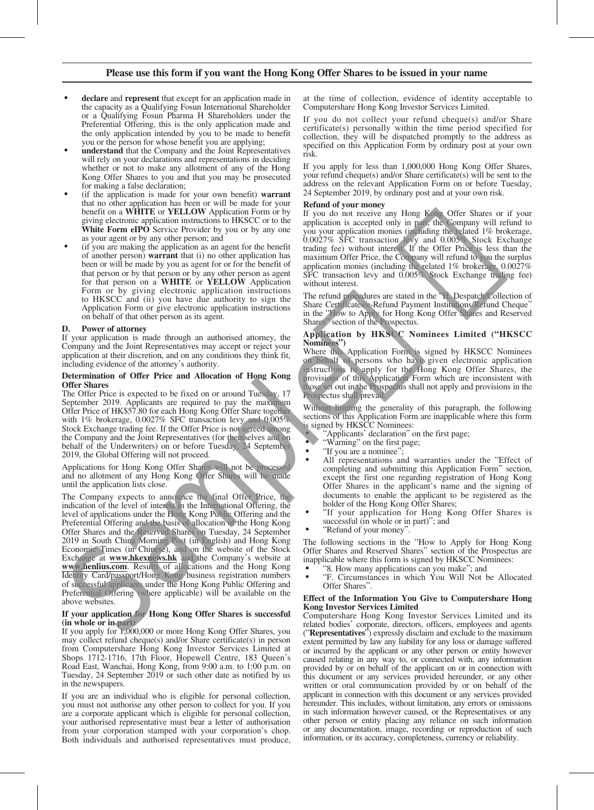### **Please use this form if you want the Hong Kong Offer Shares to be issued in your name**

- declare and **represent** that except for an application made in the capacity as a Qualifying Fosun International Shareholder or a Qualifying Fosun Pharma H Shareholders under the Preferential Offering, this is the only application made and the only application intended by you to be made to benefit you or the person for whose benefit you are applying;
- **understand** that the Company and the Joint Representatives will rely on your declarations and representations in deciding whether or not to make any allotment of any of the Hong Kong Offer Shares to you and that you may be prosecuted for making a false declaration;
- ‧ (if the application is made for your own benefit) **warrant** that no other application has been or will be made for your benefit on a **WHITE** or **YELLOW** Application Form or by giving electronic application instructions to HKSCC or to the **White Form eIPO** Service Provider by you or by any one as your agent or by any other person; and
- ‧ (if you are making the application as an agent for the benefit of another person) **warrant** that (i) no other application has been or will be made by you as agent for or for the benefit of that person or by that person or by any other person as agent for that person on a **WHITE** or **YELLOW** Application Form or by giving electronic application instructions to HKSCC and (ii) you have due authority to sign the Application Form or give electronic application instructions on behalf of that other person as its agent.

#### **D. Power of attorney**

If your application is made through an authorised attorney, the Company and the Joint Representatives may accept or reject your application at their discretion, and on any conditions they think fit, including evidence of the attorney's authority.

#### **Determination of Offer Price and Allocation of Hong Kong Offer Shares**

The Offer Price is expected to be fixed on or around Tuesday, 17 September 2019. Applicants are required to pay the maximum Offer Price of HK\$57.80 for each Hong Kong Offer Share together with 1% brokerage, 0.0027% SFC transaction levy and 0.005% Stock Exchange trading fee. If the Offer Price is not agreed among the Company and the Joint Representatives (for themselves and on behalf of the Underwriters) on or before Tuesday, 24 September 2019, the Global Offering will not proceed.

Applications for Hong Kong Offer Shares will not be processed and no allotment of any Hong Kong Offer Shares will be made until the application lists close.

The Company expects to announce the final Offer Price, the indication of the level of interest in the International Offering, the level of applications under the Hong Kong Public Offering and the Preferential Offering and the basis of allocation of the Hong Kong Offer Shares and the Reserved Shares on Tuesday, 24 September 2019 in South China Morning Post (in English) and Hong Kong Economic Times (in Chinese), and on the website of the Stock Exchange at **www.hkexnews.hk** and the Company's website at **www.henlius.com**. Results of allocations and the Hong Kong Identity Card/passport/Hong Kong business registration numbers of successful applicants under the Hong Kong Public Offering and Preferential Offering (where applicable) will be available on the above websites. What form for the spherical is not all one of the spherical monet including the claim of the spherical is not all the spherical information of the spherical is not all the spherical information of the spherical is not all

#### **If your application for Hong Kong Offer Shares is successful (in whole or in part)**

If you apply for 1,000,000 or more Hong Kong Offer Shares, you may collect refund cheque(s) and/or Share certificate(s) in person from Computershare Hong Kong Investor Services Limited at Shops 1712-1716, 17th Floor, Hopewell Centre, 183 Queen's Road East, Wanchai, Hong Kong, from 9:00 a.m. to 1:00 p.m. on Tuesday, 24 September 2019 or such other date as notified by us in the newspapers.

If you are an individual who is eligible for personal collection, you must not authorise any other person to collect for you. If you are a corporate applicant which is eligible for personal collection, your authorised representative must bear a letter of authorisation from your corporation stamped with your corporation's chop. Both individuals and authorised representatives must produce,

at the time of collection, evidence of identity acceptable to Computershare Hong Kong Investor Services Limited.

If you do not collect your refund cheque(s) and/or Share certificate(s) personally within the time period specified for collection, they will be dispatched promptly to the address as specified on this Application Form by ordinary post at your own risk.

If you apply for less than 1,000,000 Hong Kong Offer Shares, your refund cheque(s) and/or Share certificate(s) will be sent to the address on the relevant Application Form on or before Tuesday, 24 September 2019, by ordinary post and at your own risk.

#### **Refund of your money**

If you do not receive any Hong Kong Offer Shares or if your application is accepted only in part, the Company will refund to you your application monies (including the related 1% brokerage, 0.0027% SFC transaction levy and 0.005% Stock Exchange trading fee) without interest. If the Offer Price is less than the maximum Offer Price, the Company will refund to you the surplus application monies (including the related 1% brokerage, 0.0027% SFC transaction levy and 0.005% Stock Exchange trading fee) without interest.

The refund procedures are stated in the "H. Despatch/Collection of Share Certificates/e-Refund Payment Institutions/Refund Cheque" in the "How to Apply for Hong Kong Offer Shares and Reserved Shares" section of the Prospectus.

#### **Application by HKSCC Nominees Limited ("HKSCC Nominees")**

Where this Application Form is signed by HKSCC Nominees on behalf of persons who have given electronic application instructions to apply for the Hong Kong Offer Shares, the provisions of this Application Form which are inconsistent with those set out in the Prospectus shall not apply and provisions in the Prospectus shall prevail.

Without limiting the generality of this paragraph, the following sections of this Application Form are inapplicable where this form is signed by HKSCC Nominees:

- ‧ "Applicants' declaration" on the first page;
- "Warning" on the first page;
- "If you are a nominee";
- All representations and warranties under the "Effect of completing and submitting this Application Form" section, except the first one regarding registration of Hong Kong Offer Shares in the applicant's name and the signing of documents to enable the applicant to be registered as the holder of the Hong Kong Offer Shares;
- ‧ "If your application for Hong Kong Offer Shares is successful (in whole or in part)"; and
- "Refund of your money"

The following sections in the "How to Apply for Hong Kong Offer Shares and Reserved Shares" section of the Prospectus are inapplicable where this form is signed by HKSCC Nominees:

- ‧ "8. How many applications can you make"; and
- ‧ "F. Circumstances in which You Will Not be Allocated Offer Shares".

#### **Effect of the Information You Give to Computershare Hong Kong Investor Services Limited**

Computershare Hong Kong Investor Services Limited and its related bodies' corporate, directors, officers, employees and agents ("**Representatives**") expressly disclaim and exclude to the maximum extent permitted by law any liability for any loss or damage suffered or incurred by the applicant or any other person or entity however caused relating in any way to, or connected with, any information provided by or on behalf of the applicant on or in connection with this document or any services provided hereunder, or any other written or oral communication provided by or on behalf of the applicant in connection with this document or any services provided hereunder. This includes, without limitation, any errors or omissions in such information however caused, or the Representatives or any other person or entity placing any reliance on such information or any documentation, image, recording or reproduction of such information, or its accuracy, completeness, currency or reliability.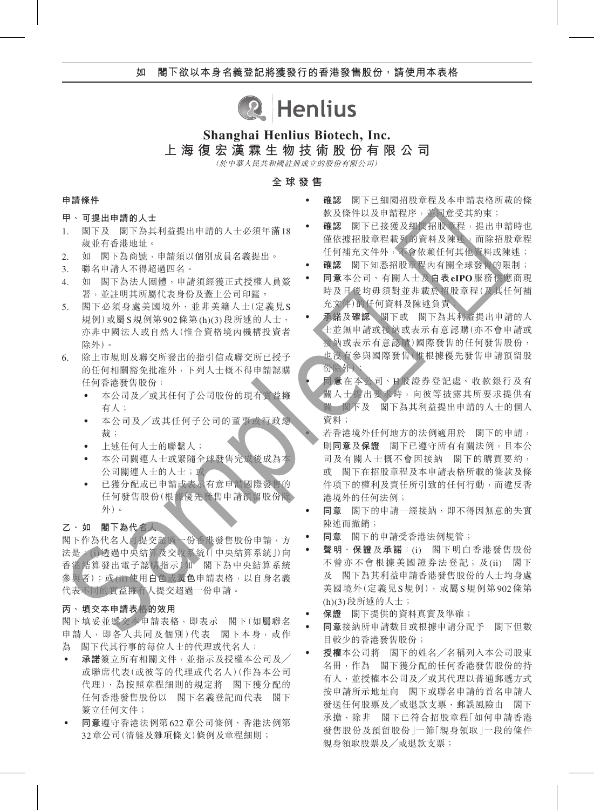

# **Shanghai Henlius Biotech, Inc. 上海復宏漢霖生物技術股份有限公司**

(於中華人民共和國註冊成立的股份有限公司)

### **全球發售**

#### **申請條件**

- **甲、可提出申請的人士**
- 1. 閣下及 閣下為其利益提出申請的人士必須年滿18 歲並有香港地址。
- 2. 如 閣下為商號,申請須以個別成員名義提出。
- 3. 聯名申請人不得超過四名。
- 4. 如 閣下為法人團體,申請須經獲正式授權人員簽 署,並註明其所屬代表身份及蓋上公司印鑑。
- 5. 閣下必須身處美國境外,並非美籍人士(定義見S 規例)或屬S規例第902條第(h)(3)段所述的人士, 亦非中國法人或自然人(惟合資格境內機構投資者 除外)。
- 6. 除上市規則及聯交所發出的指引信或聯交所已授予 的任何相關豁免批准外,下列人士概不得申請認購 任何香港發售股份:
	- ‧ 本公司及╱或其任何子公司股份的現有實益擁 有人;
	- ‧ 本公司及╱或其任何子公司的董事或行政總 裁;
	- ‧ 上述任何人士的聯繫人;
	- 本公司關連人士或緊隨全球發售完成後成為本 公司關連人士的人士;或
	- 已獲分配或已申請或表示有意申請國際發售的 任何發售股份(根據優先發售申請預留股份除 外)。

### **乙、如 閣下為代名人**

閣下作為代名人可提交超過一份香港發售股份申請,方 法是:(i)透過中央結算及交收系統(「中央結算系統」)向 香港結算發出電子認購指示(如 閣下為中央結算系統 參與者);或(ii)使用**白色**或**黃色**申請表格,以自身名義 代表不同的實益擁有人提交超過一份申請。

#### **丙、填交本申請表格的效用**

閣下填妥並遞交本申請表格,即表示 閣下(如屬聯名 申請人,即各人共同及個別)代表 閣下本身,或作 為 閣下代其行事的每位人士的代理或代名人:

- ‧ **承諾**簽立所有相關文件,並指示及授權本公司及╱ 或聯席代表(或彼等的代理或代名人)(作為本公司 代理),為按照章程細則的規定將 閣下獲分配的 任何香港發售股份以 閣下名義登記而代表 閣下 簽立任何文件;
- ‧ **同意**遵守香港法例第622章公司條例、香港法例第 32章公司(清盤及雜項條文)條例及章程細則;
- ‧ **確認** 閣下已細閱招股章程及本申請表格所載的條 款及條件以及申請程序,並同意受其約束;
- ‧ **確認** 閣下已接獲及細閱招股章程,提出申請時也 僅依據招股章程載列的資料及陳述,而除招股章程 任何補充文件外,不會依賴任何其他資料或陳述;
- ‧ **確認** 閣下知悉招股章程內有關全球發售的限制;
- ‧ **同意**本公司、有關人士及**白表eIPO**服務供應商現 時及日後均毋須對並非載於招股章程(及其任何補 充文件)的任何資料及陳述負責;
- ‧ **承諾**及**確認** 閣下或 閣下為其利益提出申請的人 士並無申請或接納或表示有意認購(亦不會申請或 接納或表示有意認購)國際發售的任何發售股份, 也沒有參與國際發售(惟根據優先發售申請預留股 份除外);

‧ **同意**在本公司、H股證券登記處、收款銀行及有 關人士提出要求時,向彼等披露其所要求提供有 關 閣下及 閣下為其利益提出申請的人士的個人 資料;

若香港境外任何地方的法例適用於 閣下的申請, 則**同意**及**保證** 閣下已遵守所有有關法例,且本公 司及有關人士概不會因接納 閣下的購買要約, 或 閣下在招股章程及本申請表格所載的條款及條 件項下的權利及責任所引致的任何行動,而違反香 港境外的任何法例; Sample樣版

- ‧ **同意** 閣下的申請一經接納,即不得因無意的失實 陳述而撤銷;
- ‧ **同意** 閣下的申請受香港法例規管;
- ‧ **聲明**、**保證**及**承諾**:(i) 閣下明白香港發售股份 不曾亦不會根據美國證券法登記;及(ii) 閣下 及 閣下為其利益申請香港發售股份的人士均身處 美國境外(定義見S規例),或屬S規例第902條第 (h)(3)段所述的人士;
- ‧ **保證** 閣下提供的資料真實及準確;
- ‧ **同意**接納所申請數目或根據申請分配予 閣下但數 目較少的香港發售股份;
- ‧ **授權**本公司將 閣下的姓名╱名稱列入本公司股東 名冊,作為 閣下獲分配的任何香港發售股份的持 有人,並授權本公司及╱或其代理以普通郵遞方式 按申請所示地址向 閣下或聯名申請的首名申請人 發送任何股票及╱或退款支票,郵誤風險由 閣下 承擔,除非 閣下已符合招股章程「如何申請香港 發售股份及預留股份」一節「親身領取」一段的條件 親身領取股票及/或退款支票;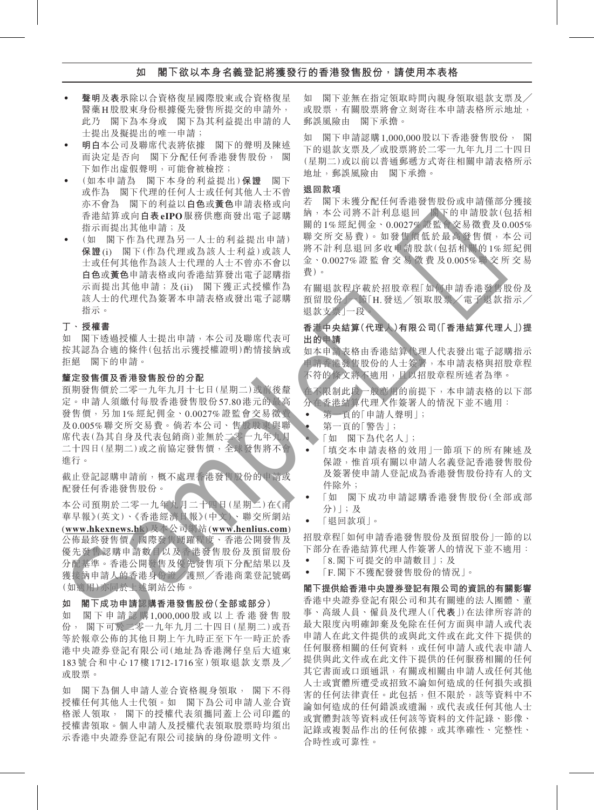### **如 閣下欲以本身名義登記將獲發行的香港發售股份,請使用本表格**

- ‧ **聲明**及**表示**除以合資格復星國際股東或合資格復星 醫藥H股股東身份根據優先發售所提交的申請外, 此乃 閣下為本身或 閣下為其利益提出申請的人 士提出及擬提出的唯一申請;
- ‧ **明白**本公司及聯席代表將依據 閣下的聲明及陳述 而決定是否向 閣下分配任何香港發售股份, 閣 下如作出虛假聲明,可能會被檢控;
- ‧ (如本申請為 閣下本身的利益提出)**保證** 閣下 或作為 閣下代理的任何人士或任何其他人士不曾 亦不會為 閣下的利益以**白色**或**黃色**申請表格或向 香港結算或向**白表eIPO**服務供應商發出電子認購 指示而提出其他申請;及
- ‧ (如 閣下作為代理為另一人士的利益提出申請) **保證**(i) 閣下(作為代理或為該人士利益)或該人 士或任何其他作為該人士代理的人士不曾亦不會以 **白色**或**黃色**申請表格或向香港結算發出電子認購指 示而提出其他申請;及(ii) 閣下獲正式授權作為 該人士的代理代為簽署本申請表格或發出電子認購 指示。

### **丁、授權書**

如 閣下透過授權人士提出申請,本公司及聯席代表可 按其認為合適的條件(包括出示獲授權證明)酌情接納或 拒絕 閣下的申請。

#### **釐定發售價及香港發售股份的分配**

預期發售價於二零一九年九月十七日(星期二)或前後釐 定。申請人須繳付每股香港發售股份57.80港元的最高 發售價,另加1%經紀佣金、0.0027%證監會交易徵費 及0.005%聯交所交易費。倘若本公司、售股股東與聯 席代表(為其自身及代表包銷商)並無於二零一九年九月 二十四日(星期二)或之前協定發售價,全球發售將不會 進行。

截止登記認購申請前,概不處理香港發售股份的申請或 配發任何香港發售股份。

本公司預期於二零一九年九月二十四日(星期二)在《南 華早報》(英文)、《香港經濟日報》(中文)、聯交所網站 (**www.hkexnews.hk**)及本公司網站(**www.henlius.com**) 公佈最終發售價、國際發售踴躍程度、香港公開發售及 優先發售認購申請數目以及香港發售股份及預留股份 分配基準。香港公開發售及優先發售項下分配結果以及 獲接納申請人的香港身份證/護照/香港商業登記號碼 (如適用)亦同於上述網站公佈。 "(如此的知识和的。"这是,我们利用的。",除了你的人物,就是我们的,我们的是我们的,我们的人的,我们的是,我们的人的,我们就是我们的,我们的人的,我们就是我们的,我们的人的,我们就是我们的,我们就是我们的,我们的人的,我们就是我们的,我们就是我们的,我们就是我们的,我们就是我们的,我们就是我们的,我们就是我们的,我们就是我们的,我们就是我们的,我们就是我们的,我们就是我们的,我们就是我们的,我们就是我们的,我们就是我们的,我们就是我们

### **如 閣下成功申請認購香港發售股份(全部或部分)**

如 閣下申請認購1,000,000 股或以上香港發售股 份, 閣下可於二零一九年九月二十四日(星期二)或吾 等於報章公佈的其他日期上午九時正至下午一時正於香 港中央證券登記有限公司(地址為香港灣仔皇后大道東 183號合和中心17樓1712-1716室)領取退款支票及╱ 或股票。

如 閣下為個人申請人並合資格親身領取, 閣下不得 授權任何其他人士代領。如 閣下為公司申請人並合資 格派人領取, 閣下的授權代表須攜同蓋上公司印鑑的 授權書領取。個人申請人及授權代表領取股票時均須出 示香港中央證券登記有限公司接納的身份證明文件。

如 閣下並無在指定領取時間內親身領取退款支票及 或股票,有關股票將會立刻寄往本申請表格所示地址, 郵誤風險由 閣下承擔。

如 閣下申請認購1,000,000 股以下香港發售股份, 閣 下的退款支票及╱或股票將於二零一九年九月二十四日 (星期二)或以前以普通郵遞方式寄往相關申請表格所示 地址,郵誤風險由 閣下承擔。

#### **退回款項**

若 閣下未獲分配任何香港發售股份或申請僅部分獲接 納,本公司將不計利息退回 閣下的申請股款(包括相 關的1%經紀佣金、0.0027%證監會交易徵費及0.005% 聯交所交易費)。如發售價低於最高發售價,本公司 將不計利息退回多收申請股款(包括相關的 1%經紀佣 金、0.0027%證監會交易徵費及0.005%聯交所交易 費)。

有關退款程序載於招股章程「如何申請香港發售股份及 預留股份 | 一節「H.發送/領取股票/電子退款指示/ 退款支票」一段。

### **香港中央結算(代理人)有限公司(「香港結算代理人」)提 出的申請**

如本申請表格由香港結算代理人代表發出電子認購指示 申請香港發售股份的人士簽署,本申請表格與招股章程 不符的條文將不適用,且以招股章程所述者為準。

在不限制此段一般應用的前提下,本申請表格的以下部 分在香港結算代理人作簽署人的情況下並不適用:

- 第一頁的「申請人聲明」;
- 第一頁的「警告」;
- ‧ 「如 閣下為代名人」;
- 「填交本申請表格的效用」一節項下的所有陳述及 保證,惟首項有關以申請人名義登記香港發售股份 及簽署使申請人登記成為香港發售股份持有人的文 件除外;
- ‧ 「如 閣下成功申請認購香港發售股份(全部或部 分)」;及
- ‧ 「退回款項」。

招股章程「如何申請香港發售股份及預留股份」一節的以 下部分在香港結算代理人作簽署人的情況下並不適用:

- ‧ 「8.閣下可提交的申請數目」;及
- ‧ 「F.閣下不獲配發發售股份的情況」。

**閣下提供給香港中央證券登記有限公司的資訊的有關影響** 香港中央證券登記有限公司和其有關連的法人團體、董 事、高級人員、僱員及代理人(「**代表**」)在法律所容許的 最大限度內明確卸棄及免除在任何方面與申請人或代表 申請人在此文件提供的或與此文件或在此文件下提供的 任何服務相關的任何資料,或任何申請人或代表申請人 提供與此文件或在此文件下提供的任何服務相關的任何 其它書面或口頭通訊,有關或相關由申請人或任何其他 人士或實體所遭受或招致不論如何造成的任何損失或損 害的任何法律責任。此包括,但不限於,該等資料中不 論如何造成的任何錯誤或遺漏,或代表或任何其他人士 或實體對該等資料或任何該等資料的文件記錄、影像、 記錄或複製品作出的任何依據,或其準確性、完整性、 合時性或可靠性。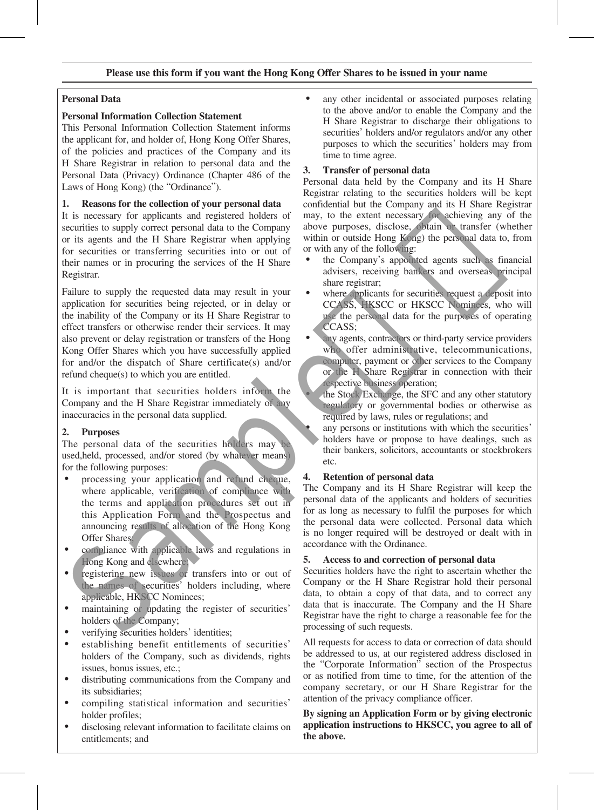### **Personal Data**

### **Personal Information Collection Statement**

This Personal Information Collection Statement informs the applicant for, and holder of, Hong Kong Offer Shares, of the policies and practices of the Company and its H Share Registrar in relation to personal data and the Personal Data (Privacy) Ordinance (Chapter 486 of the Laws of Hong Kong) (the "Ordinance").

### **1. Reasons for the collection of your personal data**

It is necessary for applicants and registered holders of securities to supply correct personal data to the Company or its agents and the H Share Registrar when applying for securities or transferring securities into or out of their names or in procuring the services of the H Share Registrar.

Failure to supply the requested data may result in your application for securities being rejected, or in delay or the inability of the Company or its H Share Registrar to effect transfers or otherwise render their services. It may also prevent or delay registration or transfers of the Hong Kong Offer Shares which you have successfully applied for and/or the dispatch of Share certificate(s) and/or refund cheque(s) to which you are entitled. Contents or the priori in the company of the company in the company in the company of securities or the company in the company in the company in the company in the company in the company in the company in the company in t

It is important that securities holders inform the Company and the H Share Registrar immediately of any inaccuracies in the personal data supplied.

### **2. Purposes**

The personal data of the securities holders may be used,held, processed, and/or stored (by whatever means) for the following purposes:

- processing your application and refund cheque, where applicable, verification of compliance with the terms and application procedures set out in this Application Form and the Prospectus and announcing results of allocation of the Hong Kong Offer Shares;
- compliance with applicable laws and regulations in Hong Kong and elsewhere;
- registering new issues or transfers into or out of the names of securities' holders including, where applicable, HKSCC Nominees;
- maintaining or updating the register of securities' holders of the Company;
- verifying securities holders' identities;
- establishing benefit entitlements of securities' holders of the Company, such as dividends, rights issues, bonus issues, etc.;
- distributing communications from the Company and its subsidiaries;
- ‧ compiling statistical information and securities' holder profiles;
- disclosing relevant information to facilitate claims on entitlements; and

any other incidental or associated purposes relating to the above and/or to enable the Company and the H Share Registrar to discharge their obligations to securities' holders and/or regulators and/or any other purposes to which the securities' holders may from time to time agree.

### **3. Transfer of personal data**

Personal data held by the Company and its H Share Registrar relating to the securities holders will be kept confidential but the Company and its H Share Registrar may, to the extent necessary for achieving any of the above purposes, disclose, obtain or transfer (whether within or outside Hong Kong) the personal data to, from or with any of the following:

- the Company's appointed agents such as financial advisers, receiving bankers and overseas principal share registrar;
- where applicants for securities request a deposit into CCASS, HKSCC or HKSCC Nominees, who will use the personal data for the purposes of operating CCASS;
- any agents, contractors or third-party service providers who offer administrative, telecommunications, computer, payment or other services to the Company

or the H Share Registrar in connection with their respective business operation;

- the Stock Exchange, the SFC and any other statutory regulatory or governmental bodies or otherwise as required by laws, rules or regulations; and
- any persons or institutions with which the securities' holders have or propose to have dealings, such as their bankers, solicitors, accountants or stockbrokers etc.

### **4. Retention of personal data**

The Company and its H Share Registrar will keep the personal data of the applicants and holders of securities for as long as necessary to fulfil the purposes for which the personal data were collected. Personal data which is no longer required will be destroyed or dealt with in accordance with the Ordinance.

### **5. Access to and correction of personal data**

Securities holders have the right to ascertain whether the Company or the H Share Registrar hold their personal data, to obtain a copy of that data, and to correct any data that is inaccurate. The Company and the H Share Registrar have the right to charge a reasonable fee for the processing of such requests.

All requests for access to data or correction of data should be addressed to us, at our registered address disclosed in the "Corporate Information" section of the Prospectus or as notified from time to time, for the attention of the company secretary, or our H Share Registrar for the attention of the privacy compliance officer.

**By signing an Application Form or by giving electronic application instructions to HKSCC, you agree to all of the above.**